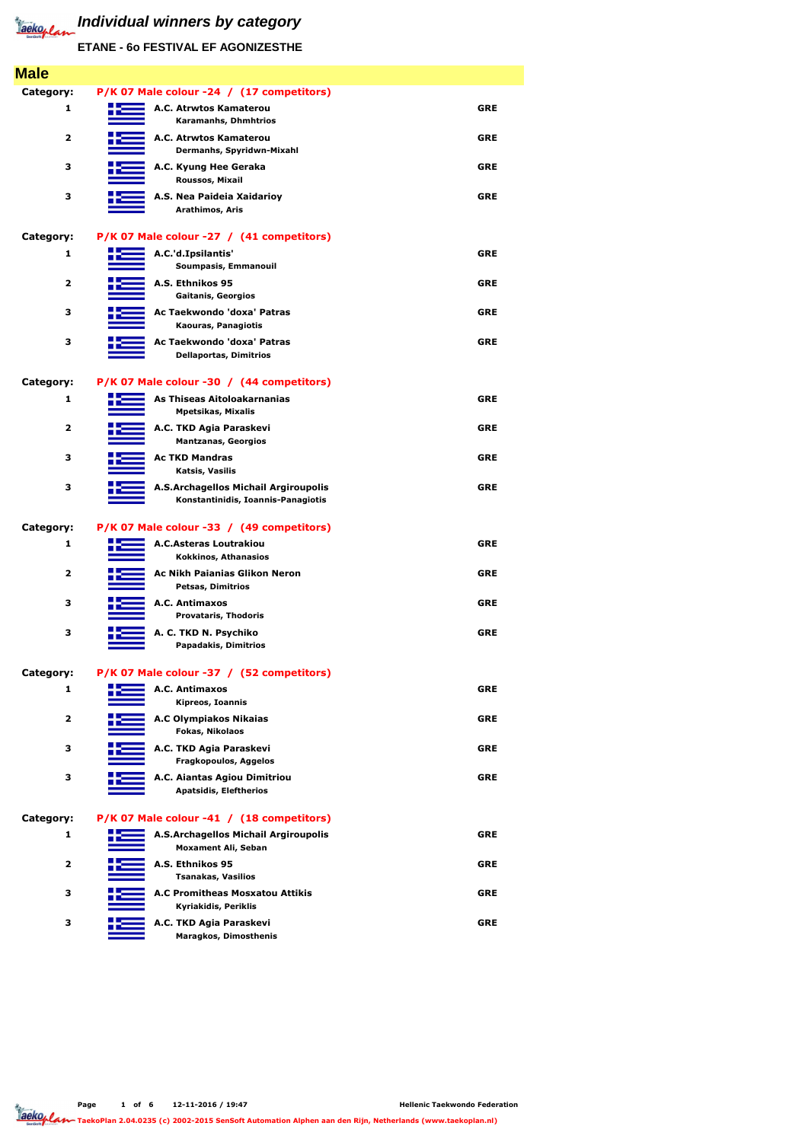| <b>Male</b>             |                                                                                   |            |
|-------------------------|-----------------------------------------------------------------------------------|------------|
| Category:               | P/K 07 Male colour -24 / (17 competitors)                                         |            |
| 1                       | A.C. Atrwtos Kamaterou<br><b>Karamanhs, Dhmhtrios</b>                             | <b>GRE</b> |
| $\overline{\mathbf{2}}$ | A.C. Atrwtos Kamaterou<br>Dermanhs, Spyridwn-Mixahl                               | <b>GRE</b> |
| 3                       | A.C. Kyung Hee Geraka<br>Roussos, Mixail                                          | <b>GRE</b> |
| 3                       | A.S. Nea Paideia Xaidarioy<br>Arathimos, Aris                                     | <b>GRE</b> |
| Category:               | P/K 07 Male colour -27 / (41 competitors)                                         |            |
| 1                       | A.C.'d.Ipsilantis'<br>Soumpasis, Emmanouil                                        | <b>GRE</b> |
| $\overline{\mathbf{2}}$ | A.S. Ethnikos 95<br><b>Gaitanis, Georgios</b>                                     | <b>GRE</b> |
| 3                       | Ac Taekwondo 'doxa' Patras<br>Kaouras, Panagiotis                                 | <b>GRE</b> |
| 3                       | Ac Taekwondo 'doxa' Patras<br><b>Dellaportas, Dimitrios</b>                       | <b>GRE</b> |
| Category:               | P/K 07 Male colour -30 / (44 competitors)                                         |            |
| 1                       | As Thiseas Aitoloakarnanias<br><b>Mpetsikas, Mixalis</b>                          | <b>GRE</b> |
| 2                       | A.C. TKD Agia Paraskevi<br><b>Mantzanas, Georgios</b>                             | <b>GRE</b> |
| 3                       | <b>Ac TKD Mandras</b><br>Katsis, Vasilis                                          | <b>GRE</b> |
| 3                       | <b>A.S.Archagellos Michail Argiroupolis</b><br>Konstantinidis, Ioannis-Panagiotis | <b>GRE</b> |
| Category:               | P/K 07 Male colour -33 / (49 competitors)                                         |            |
| 1                       | <b>A.C.Asteras Loutrakiou</b><br>Kokkinos, Athanasios                             | <b>GRE</b> |
| $\overline{\mathbf{2}}$ | <b>Ac Nikh Paianias Glikon Neron</b><br><b>Petsas, Dimitrios</b>                  | <b>GRE</b> |
| 3                       | A.C. Antimaxos<br><b>Provataris, Thodoris</b>                                     | <b>GRE</b> |
| 3                       | A. C. TKD N. Psychiko<br><b>Papadakis, Dimitrios</b>                              | <b>GRE</b> |
| Category:               | P/K 07 Male colour -37 / (52 competitors)                                         |            |
| 1                       | A.C. Antimaxos<br>Kipreos, Ioannis                                                | <b>GRE</b> |
| $\overline{\mathbf{2}}$ | <b>A.C Olympiakos Nikaias</b><br>Fokas, Nikolaos                                  | <b>GRE</b> |
| 3                       | A.C. TKD Agia Paraskevi<br><b>Fragkopoulos, Aggelos</b>                           | <b>GRE</b> |
| 3                       | A.C. Aiantas Agiou Dimitriou<br><b>Apatsidis, Eleftherios</b>                     | <b>GRE</b> |
| Category:               | P/K 07 Male colour -41 / (18 competitors)                                         |            |
| 1                       | A.S.Archagellos Michail Argiroupolis                                              | <b>GRE</b> |

**Page 1 of 6 12-11-2016 / 19:47 Taeko<sub>p</sub> lan TaekoPlan 2.04.0235 (c) 2002-2015 SenSoft Automation Alphen aan den Rijn, Netherlands (www.taekoplan.nl)** 

**Moxament Ali, Seban**

<u>e e</u>

| 2 |                                   | A.S. Ethnikos 95<br><b>Tsanakas, Vasilios</b>           | GRE |
|---|-----------------------------------|---------------------------------------------------------|-----|
| 3 | the control of the control of the | A.C Promitheas Mosxatou Attikis<br>Kyriakidis, Periklis | GRE |
|   |                                   | A.C. TKD Agia Paraskevi<br><b>Maragkos, Dimosthenis</b> | GRE |

# **Individual winners by category**

**ETANE - 6o FESTIVAL EF AGONIZESTHE**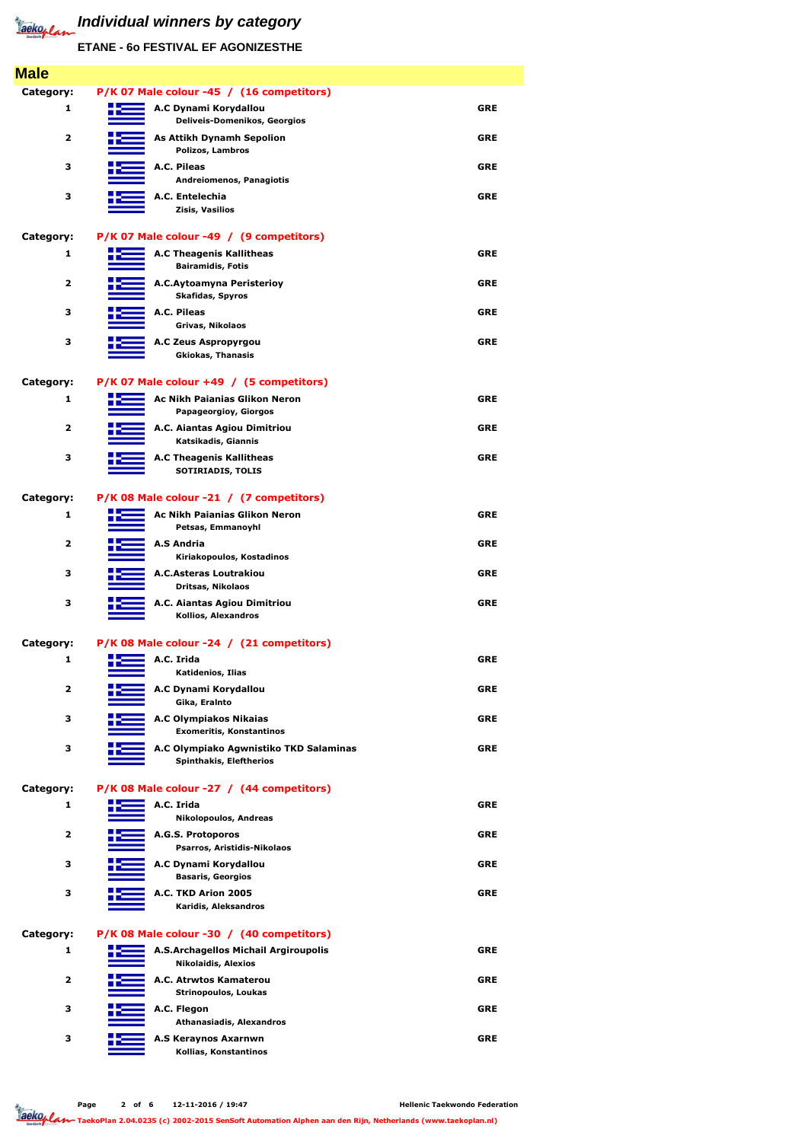| <b>Male</b>             |                                                                          |            |
|-------------------------|--------------------------------------------------------------------------|------------|
| Category:               | P/K 07 Male colour -45 / (16 competitors)                                |            |
| 1                       | A.C Dynami Korydallou<br><b>Deliveis-Domenikos, Georgios</b>             | <b>GRE</b> |
| $\mathbf{2}$            | <b>As Attikh Dynamh Sepolion</b><br>Polizos, Lambros                     | <b>GRE</b> |
| 3                       | A.C. Pileas<br><b>Andreiomenos, Panagiotis</b>                           | <b>GRE</b> |
| 3                       | A.C. Entelechia<br>Zisis, Vasilios                                       | <b>GRE</b> |
| Category:               | P/K 07 Male colour -49 / (9 competitors)                                 |            |
| 1                       | <b>A.C Theagenis Kallitheas</b><br><b>Bairamidis, Fotis</b>              | <b>GRE</b> |
| $\overline{\mathbf{2}}$ | A.C.Aytoamyna Peristerioy<br><b>Skafidas, Spyros</b>                     | <b>GRE</b> |
| 3                       | <b>A.C. Pileas</b><br>Grivas, Nikolaos                                   | <b>GRE</b> |
| 3                       | A.C Zeus Aspropyrgou<br><b>Gkiokas, Thanasis</b>                         | <b>GRE</b> |
| Category:               | P/K 07 Male colour +49 / (5 competitors)                                 |            |
| $\mathbf{1}$            | <b>Ac Nikh Paianias Glikon Neron</b><br><b>Papageorgioy, Giorgos</b>     | <b>GRE</b> |
| $\overline{\mathbf{2}}$ | A.C. Aiantas Agiou Dimitriou<br>Katsikadis, Giannis                      | <b>GRE</b> |
| 3                       | <b>A.C Theagenis Kallitheas</b><br><b>SOTIRIADIS, TOLIS</b>              | <b>GRE</b> |
| Category:               | P/K 08 Male colour -21 / (7 competitors)                                 |            |
| 1                       | <b>Ac Nikh Paianias Glikon Neron</b><br>Petsas, Emmanoyhl                | <b>GRE</b> |
| $\mathbf{2}$            | <b>A.S Andria</b><br>Kiriakopoulos, Kostadinos                           | <b>GRE</b> |
| 3                       | <b>A.C.Asteras Loutrakiou</b><br>Dritsas, Nikolaos                       | <b>GRE</b> |
| 3                       | A.C. Aiantas Agiou Dimitriou<br>Kollios, Alexandros                      | <b>GRE</b> |
| <b>Category:</b>        | P/K 08 Male colour -24 / (21 competitors)                                |            |
| $\mathbf{1}$            | A.C. Irida<br>Katidenios, Ilias                                          | <b>GRE</b> |
| $\mathbf{2}$            | A.C Dynami Korydallou<br>Gika, Eralnto                                   | <b>GRE</b> |
| 3                       | <b>A.C Olympiakos Nikaias</b><br><b>Exomeritis, Konstantinos</b>         | <b>GRE</b> |
| 3                       | A.C Olympiako Agwnistiko TKD Salaminas<br><b>Spinthakis, Eleftherios</b> | <b>GRE</b> |
| Category:               | P/K 08 Male colour -27 / (44 competitors)                                |            |
| 1                       | A.C. Irida<br><b>Nikolopoulos, Andreas</b>                               | <b>GRE</b> |
| $\mathbf{2}$            | A.G.S. Protoporos                                                        | <b>GRE</b> |

**Page 2 of 6 12-11-2016 / 19:47** Jackoplan

**Psarros, Aristidis-Nikolaos**

 $\equiv$ 



### **Category: P/K 08 Male colour -30 / (40 competitors)**

| 1                       | A.S.Archagellos Michail Argiroupolis<br><b>Nikolaidis, Alexios</b> | <b>GRE</b> |
|-------------------------|--------------------------------------------------------------------|------------|
| $\overline{\mathbf{2}}$ | A.C. Atrwtos Kamaterou<br><b>Strinopoulos, Loukas</b>              | <b>GRE</b> |
| 3                       | A.C. Flegon<br><b>Athanasiadis, Alexandros</b>                     | <b>GRE</b> |
| 3                       | A.S Keraynos Axarnwn<br>Kollias, Konstantinos                      | <b>GRE</b> |

# *Individual winners by category*

**ETANE - 6o FESTIVAL EF AGONIZESTHE**

**TaekoPlan 2.04.0235 (c) 2002-2015 SenSoft Automation Alphen aan den Rijn, Netherlands (www.taekoplan.nl)**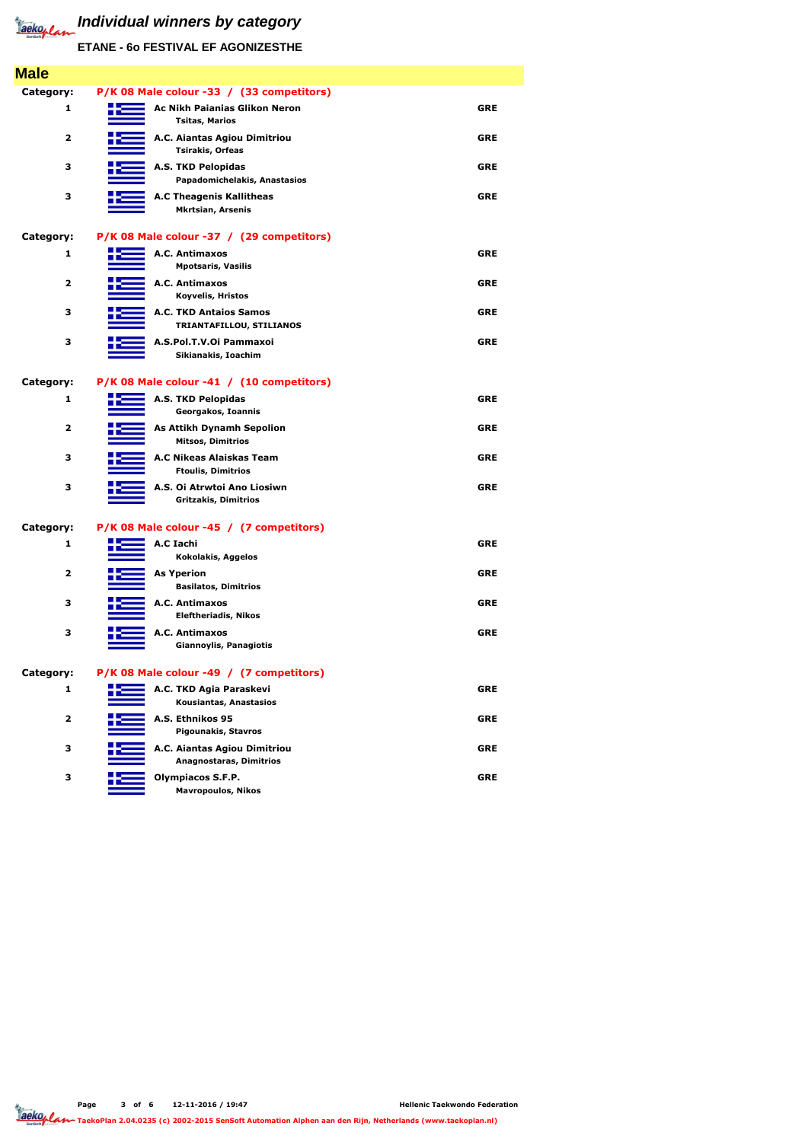| <b>Male</b>             |                                                                |            |
|-------------------------|----------------------------------------------------------------|------------|
| <b>Category:</b>        | P/K 08 Male colour -33 / (33 competitors)                      |            |
| 1                       | <b>Ac Nikh Paianias Glikon Neron</b><br><b>Tsitas, Marios</b>  | <b>GRE</b> |
| $\overline{\mathbf{2}}$ | A.C. Aiantas Agiou Dimitriou<br><b>Tsirakis, Orfeas</b>        | <b>GRE</b> |
| 3                       | <b>A.S. TKD Pelopidas</b><br>Papadomichelakis, Anastasios      | <b>GRE</b> |
| 3                       | <b>A.C Theagenis Kallitheas</b><br><b>Mkrtsian, Arsenis</b>    | <b>GRE</b> |
| <b>Category:</b>        | P/K 08 Male colour -37 / (29 competitors)                      |            |
| $\mathbf{1}$            | A.C. Antimaxos<br><b>Mpotsaris, Vasilis</b>                    | <b>GRE</b> |
| $\overline{\mathbf{2}}$ | A.C. Antimaxos<br><b>Koyvelis, Hristos</b>                     | <b>GRE</b> |
| 3                       | <b>A.C. TKD Antaios Samos</b><br>TRIANTAFILLOU, STILIANOS      | <b>GRE</b> |
| 3                       | A.S.Pol.T.V.Oi Pammaxoi<br>Sikianakis, Ioachim                 | <b>GRE</b> |
| <b>Category:</b>        | P/K 08 Male colour -41 / (10 competitors)                      |            |
| 1                       | <b>A.S. TKD Pelopidas</b><br>Georgakos, Ioannis                | <b>GRE</b> |
| $\overline{\mathbf{2}}$ | <b>As Attikh Dynamh Sepolion</b><br><b>Mitsos, Dimitrios</b>   | <b>GRE</b> |
| 3                       | A.C Nikeas Alaiskas Team<br><b>Ftoulis, Dimitrios</b>          | <b>GRE</b> |
| 3                       | A.S. Oi Atrwtoi Ano Liosiwn<br><b>Gritzakis, Dimitrios</b>     | <b>GRE</b> |
| Category:               | P/K 08 Male colour -45 / (7 competitors)                       |            |
| 1                       | A.C Iachi<br><b>Kokolakis, Aggelos</b>                         | <b>GRE</b> |
| $\overline{\mathbf{2}}$ | <b>As Yperion</b><br><b>Basilatos, Dimitrios</b>               | <b>GRE</b> |
| 3                       | A.C. Antimaxos<br><b>Eleftheriadis, Nikos</b>                  | <b>GRE</b> |
| 3                       | A.C. Antimaxos<br><b>Giannoylis, Panagiotis</b>                | <b>GRE</b> |
| <b>Category:</b>        | P/K 08 Male colour -49 / (7 competitors)                       |            |
| $\mathbf{1}$            | A.C. TKD Agia Paraskevi<br>Kousiantas, Anastasios              | <b>GRE</b> |
| $\overline{\mathbf{2}}$ | A.S. Ethnikos 95<br><b>Pigounakis, Stavros</b>                 | <b>GRE</b> |
| 3                       | A.C. Aiantas Agiou Dimitriou<br><b>Anagnostaras, Dimitrios</b> | <b>GRE</b> |
| 3                       | <b>Olympiacos S.F.P.</b><br><b>Mavropoulos, Nikos</b>          | <b>GRE</b> |

**ETANE - 6o FESTIVAL EF AGONIZESTHE**



**TaekoPlan 2.04.0235 (c) 2002-2015 SenSoft Automation Alphen aan den Rijn, Netherlands (www.taekoplan.nl)**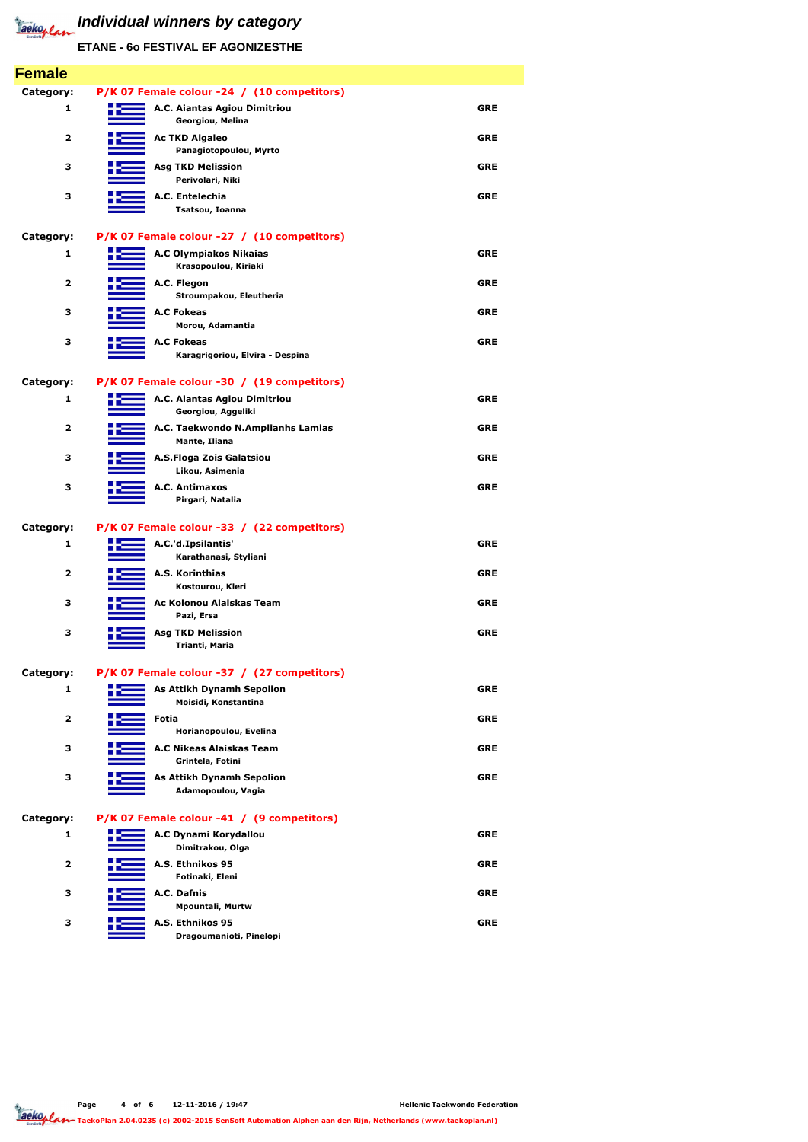| <b>Female</b>           |                                                          |            |
|-------------------------|----------------------------------------------------------|------------|
| Category:               | P/K 07 Female colour -24 / (10 competitors)              |            |
| 1                       | A.C. Aiantas Agiou Dimitriou<br>Georgiou, Melina         | <b>GRE</b> |
| $\overline{\mathbf{2}}$ | <b>Ac TKD Aigaleo</b><br>Panagiotopoulou, Myrto          | <b>GRE</b> |
| 3                       | <b>Asg TKD Melission</b><br>Perivolari, Niki             | <b>GRE</b> |
| 3                       | A.C. Entelechia<br>Tsatsou, Ioanna                       | <b>GRE</b> |
| Category:               | P/K 07 Female colour -27 / (10 competitors)              |            |
| 1                       | <b>A.C Olympiakos Nikaias</b><br>Krasopoulou, Kiriaki    | <b>GRE</b> |
| $\overline{\mathbf{2}}$ | A.C. Flegon<br>Stroumpakou, Eleutheria                   | <b>GRE</b> |
| 3                       | <b>A.C Fokeas</b><br>Morou, Adamantia                    | <b>GRE</b> |
| 3                       | <b>A.C Fokeas</b><br>Karagrigoriou, Elvira - Despina     | <b>GRE</b> |
| <b>Category:</b>        | P/K 07 Female colour -30 / (19 competitors)              |            |
| 1                       | A.C. Aiantas Agiou Dimitriou<br>Georgiou, Aggeliki       | <b>GRE</b> |
| $\overline{\mathbf{2}}$ | A.C. Taekwondo N.Amplianhs Lamias<br>Mante, Iliana       | <b>GRE</b> |
| 3                       | A.S.Floga Zois Galatsiou<br>Likou, Asimenia              | <b>GRE</b> |
| 3                       | A.C. Antimaxos<br>Pirgari, Natalia                       | <b>GRE</b> |
| Category:               | P/K 07 Female colour -33 / (22 competitors)              |            |
| 1                       | A.C.'d.Ipsilantis'<br>Karathanasi, Styliani              | <b>GRE</b> |
| $\overline{2}$          | A.S. Korinthias<br>Kostourou, Kleri                      | <b>GRE</b> |
| 3                       | Ac Kolonou Alaiskas Team<br>Pazi, Ersa                   | <b>GRE</b> |
| 3                       | <b>Asg TKD Melission</b><br>Trianti, Maria               | <b>GRE</b> |
| <b>Category:</b>        | P/K 07 Female colour -37 / (27 competitors)              |            |
| 1                       | <b>As Attikh Dynamh Sepolion</b><br>Moisidi, Konstantina | <b>GRE</b> |
| $\overline{2}$          | <b>Fotia</b><br>Horianopoulou, Evelina                   | <b>GRE</b> |
| 3                       | A.C Nikeas Alaiskas Team<br>Grintela, Fotini             | <b>GRE</b> |
| 3                       | <b>As Attikh Dynamh Sepolion</b><br>Adamopoulou, Vagia   | <b>GRE</b> |
| Category:               | P/K 07 Female colour -41 / (9 competitors)               |            |
| 1                       | A.C Dynami Korydallou<br>Dimitrakou, Olga                | <b>GRE</b> |



**ETANE - 6o FESTIVAL EF AGONIZESTHE**

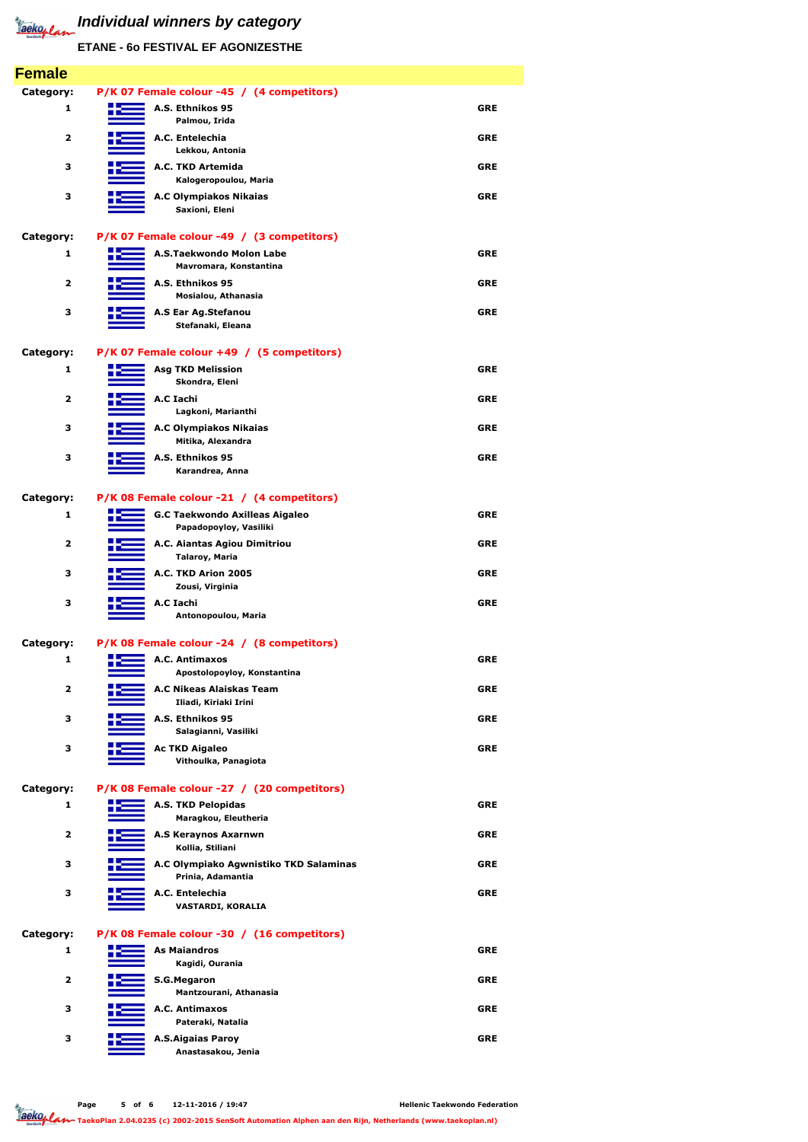**Page 5 of 6 12-11-2016 / 19:47** Jackoplan

| 3                       | A.C Olympiako Agwnistiko TKD Salaminas<br>Prinia, Adamantia | <b>GRE</b> |
|-------------------------|-------------------------------------------------------------|------------|
| 3                       | A.C. Entelechia<br>VASTARDI, KORALIA                        | <b>GRE</b> |
| Category:               | P/K 08 Female colour -30 / (16 competitors)                 |            |
| 1                       | <b>As Maiandros</b><br>Kagidi, Ourania                      | <b>GRE</b> |
| $\overline{\mathbf{2}}$ | <b>S.G.Megaron</b><br>Mantzourani, Athanasia                | <b>GRE</b> |
| З                       | A.C. Antimaxos<br>Pateraki, Natalia                         | <b>GRE</b> |
| З                       | <b>A.S.Aigaias Paroy</b><br>Anastasakou, Jenia              | <b>GRE</b> |

**ETANE - 6o FESTIVAL EF AGONIZESTHE**

| <b>Female</b>           |                                                                 |            |
|-------------------------|-----------------------------------------------------------------|------------|
| Category:               | P/K 07 Female colour -45 / (4 competitors)                      |            |
| 1                       | A.S. Ethnikos 95<br>Palmou, Irida                               | <b>GRE</b> |
| $\overline{2}$          | A.C. Entelechia<br>Lekkou, Antonia                              | <b>GRE</b> |
| 3                       | A.C. TKD Artemida<br>Kalogeropoulou, Maria                      | <b>GRE</b> |
| 3                       | <b>A.C Olympiakos Nikaias</b><br>Saxioni, Eleni                 | <b>GRE</b> |
| <b>Category:</b>        | P/K 07 Female colour -49 / (3 competitors)                      |            |
| 1                       | A.S.Taekwondo Molon Labe<br>Mavromara, Konstantina              | <b>GRE</b> |
| 2                       | A.S. Ethnikos 95<br>Mosialou, Athanasia                         | <b>GRE</b> |
| 3                       | A.S Ear Ag.Stefanou<br>Stefanaki, Eleana                        | <b>GRE</b> |
| Category:               | P/K 07 Female colour +49 / (5 competitors)                      |            |
| 1                       | <b>Asg TKD Melission</b><br>Skondra, Eleni                      | <b>GRE</b> |
| 2                       | A.C Iachi<br>Lagkoni, Marianthi                                 | <b>GRE</b> |
| 3                       | <b>A.C Olympiakos Nikaias</b><br>Mitika, Alexandra              | <b>GRE</b> |
| 3                       | A.S. Ethnikos 95<br>Karandrea, Anna                             | <b>GRE</b> |
| Category:               | P/K 08 Female colour -21 / (4 competitors)                      |            |
| 1                       | <b>G.C Taekwondo Axilleas Aigaleo</b><br>Papadopoyloy, Vasiliki | <b>GRE</b> |
| 2                       | A.C. Aiantas Agiou Dimitriou<br><b>Talaroy, Maria</b>           | <b>GRE</b> |
| 3                       | A.C. TKD Arion 2005<br>Zousi, Virginia                          | <b>GRE</b> |
| 3                       | A.C Iachi<br>Antonopoulou, Maria                                | <b>GRE</b> |
| Category:               | P/K 08 Female colour -24 / (8 competitors)                      |            |
| 1                       | A.C. Antimaxos<br>Apostolopoyloy, Konstantina                   | <b>GRE</b> |
| $\overline{2}$          | A.C Nikeas Alaiskas Team<br>Iliadi, Kiriaki Irini               | <b>GRE</b> |
| 3                       | A.S. Ethnikos 95<br>Salagianni, Vasiliki                        | <b>GRE</b> |
| 3                       | <b>Ac TKD Aigaleo</b><br>Vithoulka, Panagiota                   | <b>GRE</b> |
| Category:               | P/K 08 Female colour -27 / (20 competitors)                     |            |
| 1                       | <b>A.S. TKD Pelopidas</b><br>Maragkou, Eleutheria               | <b>GRE</b> |
| $\overline{\mathbf{2}}$ | <b>A.S Keraynos Axarnwn</b><br>Kollia, Stiliani                 | <b>GRE</b> |

**TaekoPlan 2.04.0235 (c) 2002-2015 SenSoft Automation Alphen aan den Rijn, Netherlands (www.taekoplan.nl)**